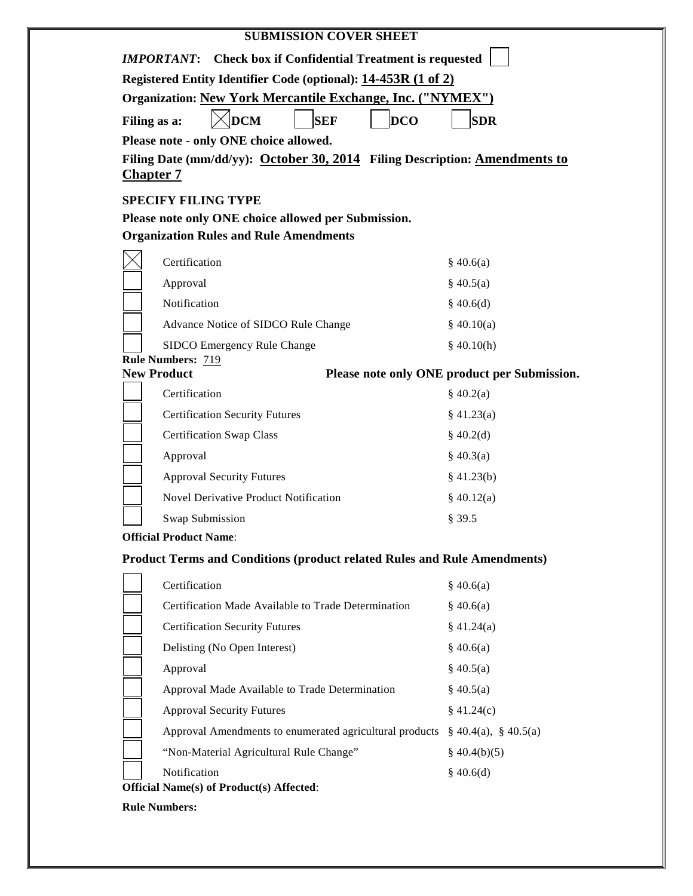|                  | <b>SUBMISSION COVER SHEET</b>                                                   |                                              |
|------------------|---------------------------------------------------------------------------------|----------------------------------------------|
|                  | <b>Check box if Confidential Treatment is requested</b><br><b>IMPORTANT:</b>    |                                              |
|                  | Registered Entity Identifier Code (optional): 14-453R (1 of 2)                  |                                              |
|                  | <b>Organization: New York Mercantile Exchange, Inc. ("NYMEX")</b>               |                                              |
| Filing as a:     | $\sqrt{\mathbf{DCM}}$<br><b>SEF</b><br><b>DCO</b>                               | <b>SDR</b>                                   |
|                  | Please note - only ONE choice allowed.                                          |                                              |
| <b>Chapter 7</b> | Filing Date (mm/dd/yy): October 30, 2014 Filing Description: Amendments to      |                                              |
|                  | <b>SPECIFY FILING TYPE</b>                                                      |                                              |
|                  | Please note only ONE choice allowed per Submission.                             |                                              |
|                  | <b>Organization Rules and Rule Amendments</b>                                   |                                              |
|                  | Certification                                                                   | \$40.6(a)                                    |
|                  | Approval                                                                        | \$40.5(a)                                    |
|                  | Notification                                                                    | \$40.6(d)                                    |
|                  | Advance Notice of SIDCO Rule Change                                             | \$40.10(a)                                   |
|                  | SIDCO Emergency Rule Change                                                     | \$40.10(h)                                   |
|                  | <b>Rule Numbers: 719</b><br><b>New Product</b>                                  | Please note only ONE product per Submission. |
|                  | Certification                                                                   | \$40.2(a)                                    |
|                  | <b>Certification Security Futures</b>                                           | \$41.23(a)                                   |
|                  | <b>Certification Swap Class</b>                                                 | \$40.2(d)                                    |
|                  | Approval                                                                        | \$40.3(a)                                    |
|                  | <b>Approval Security Futures</b>                                                | \$41.23(b)                                   |
|                  | <b>Novel Derivative Product Notification</b>                                    | \$40.12(a)                                   |
|                  | Swap Submission                                                                 | § 39.5                                       |
|                  | <b>Official Product Name:</b>                                                   |                                              |
|                  | <b>Product Terms and Conditions (product related Rules and Rule Amendments)</b> |                                              |
|                  | Certification                                                                   | \$40.6(a)                                    |
|                  | Certification Made Available to Trade Determination                             | \$40.6(a)                                    |
|                  | <b>Certification Security Futures</b>                                           | \$41.24(a)                                   |
|                  | Delisting (No Open Interest)                                                    | \$40.6(a)                                    |
|                  | Approval                                                                        | \$40.5(a)                                    |
|                  | Approval Made Available to Trade Determination                                  | \$40.5(a)                                    |
|                  | <b>Approval Security Futures</b>                                                | \$41.24(c)                                   |
|                  | Approval Amendments to enumerated agricultural products                         | $\S$ 40.4(a), $\S$ 40.5(a)                   |
|                  | "Non-Material Agricultural Rule Change"                                         | $\S$ 40.4(b)(5)                              |
|                  |                                                                                 |                                              |

**Rule Numbers:**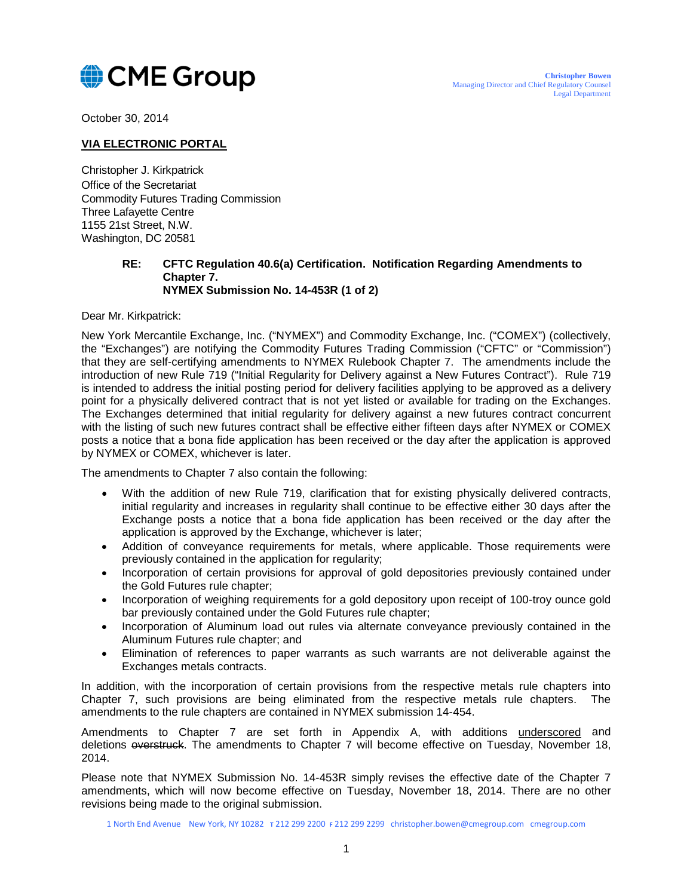

October 30, 2014

## **VIA ELECTRONIC PORTAL**

Christopher J. Kirkpatrick Office of the Secretariat Commodity Futures Trading Commission Three Lafayette Centre 1155 21st Street, N.W. Washington, DC 20581

## **RE: CFTC Regulation 40.6(a) Certification. Notification Regarding Amendments to Chapter 7. NYMEX Submission No. 14-453R (1 of 2)**

Dear Mr. Kirkpatrick:

New York Mercantile Exchange, Inc. ("NYMEX") and Commodity Exchange, Inc. ("COMEX") (collectively, the "Exchanges") are notifying the Commodity Futures Trading Commission ("CFTC" or "Commission") that they are self-certifying amendments to NYMEX Rulebook Chapter 7. The amendments include the introduction of new Rule 719 ("Initial Regularity for Delivery against a New Futures Contract"). Rule 719 is intended to address the initial posting period for delivery facilities applying to be approved as a delivery point for a physically delivered contract that is not yet listed or available for trading on the Exchanges. The Exchanges determined that initial regularity for delivery against a new futures contract concurrent with the listing of such new futures contract shall be effective either fifteen days after NYMEX or COMEX posts a notice that a bona fide application has been received or the day after the application is approved by NYMEX or COMEX, whichever is later.

The amendments to Chapter 7 also contain the following:

- With the addition of new Rule 719, clarification that for existing physically delivered contracts, initial regularity and increases in regularity shall continue to be effective either 30 days after the Exchange posts a notice that a bona fide application has been received or the day after the application is approved by the Exchange, whichever is later;
- Addition of conveyance requirements for metals, where applicable. Those requirements were previously contained in the application for regularity;
- Incorporation of certain provisions for approval of gold depositories previously contained under the Gold Futures rule chapter;
- Incorporation of weighing requirements for a gold depository upon receipt of 100-troy ounce gold bar previously contained under the Gold Futures rule chapter;
- Incorporation of Aluminum load out rules via alternate conveyance previously contained in the Aluminum Futures rule chapter; and
- Elimination of references to paper warrants as such warrants are not deliverable against the Exchanges metals contracts.

In addition, with the incorporation of certain provisions from the respective metals rule chapters into Chapter 7, such provisions are being eliminated from the respective metals rule chapters. The amendments to the rule chapters are contained in NYMEX submission 14-454.

Amendments to Chapter 7 are set forth in Appendix A, with additions underscored and deletions overstruck. The amendments to Chapter 7 will become effective on Tuesday, November 18, 2014.

Please note that NYMEX Submission No. 14-453R simply revises the effective date of the Chapter 7 amendments, which will now become effective on Tuesday, November 18, 2014. There are no other revisions being made to the original submission.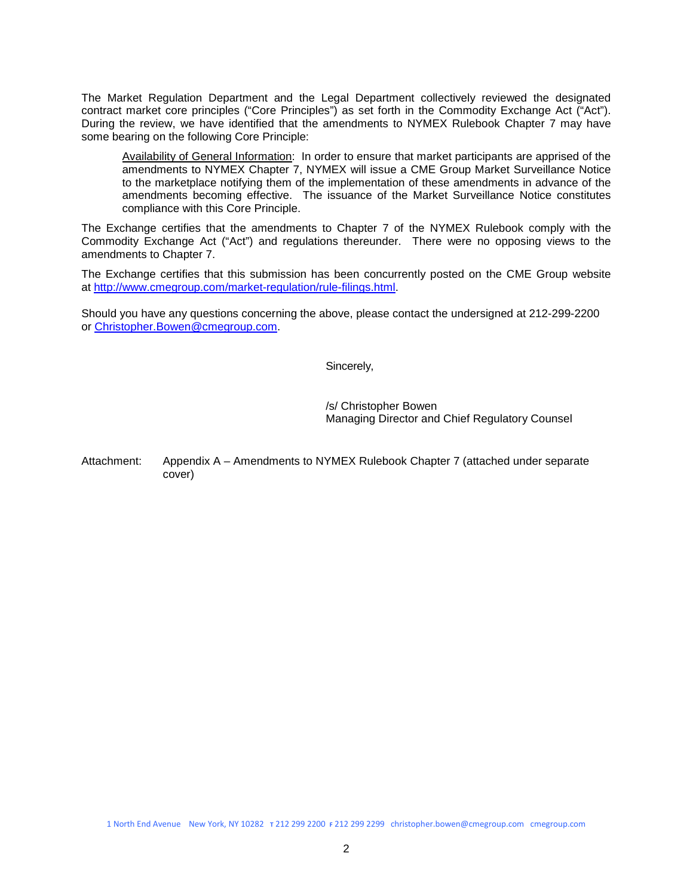The Market Regulation Department and the Legal Department collectively reviewed the designated contract market core principles ("Core Principles") as set forth in the Commodity Exchange Act ("Act"). During the review, we have identified that the amendments to NYMEX Rulebook Chapter 7 may have some bearing on the following Core Principle:

Availability of General Information: In order to ensure that market participants are apprised of the amendments to NYMEX Chapter 7, NYMEX will issue a CME Group Market Surveillance Notice to the marketplace notifying them of the implementation of these amendments in advance of the amendments becoming effective. The issuance of the Market Surveillance Notice constitutes compliance with this Core Principle.

The Exchange certifies that the amendments to Chapter 7 of the NYMEX Rulebook comply with the Commodity Exchange Act ("Act") and regulations thereunder. There were no opposing views to the amendments to Chapter 7.

The Exchange certifies that this submission has been concurrently posted on the CME Group website at [http://www.cmegroup.com/market-regulation/rule-filings.html.](http://www.cmegroup.com/market-regulation/rule-filings.html)

Should you have any questions concerning the above, please contact the undersigned at 212-299-2200 or [Christopher.Bowen@cmegroup.com.](mailto:Christopher.Bowen@cmegroup.com)

Sincerely,

/s/ Christopher Bowen Managing Director and Chief Regulatory Counsel

Attachment: Appendix A – Amendments to NYMEX Rulebook Chapter 7 (attached under separate cover)

1 North End Avenue New York, NY 10282 **T** 212 299 2200 **F** 212 299 2299 christopher.bowen@cmegroup.com cmegroup.com